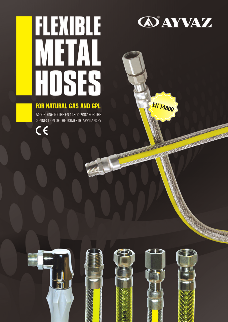## FLEXIBLE METAL HOSES

## **FOR NATURAL GAS AND GPL**

ACCORDING TO THE EN 14800:2007 FOR THE **CONNECTION OF THE DOMESTIC APPLIANCES** 

 $\epsilon$ 



**EN 14800** 

ACCESSIONS AND

The Change of the Change

ANTERNATION AND CONTRACTOR OF THE CONTRACTOR

**BARRA AND AND AND AREA** 

MARINE MARINE